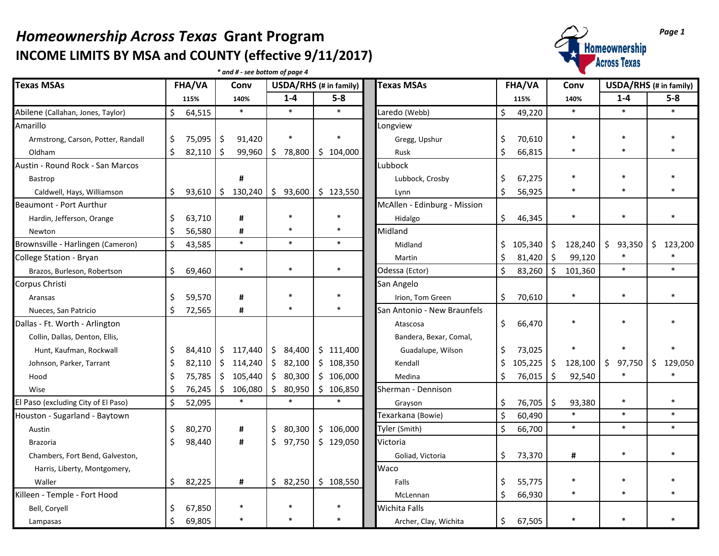## *Homeownership Across Texas* Grant Program<br>
INCOME LIMITS BY MSA and COUNTY (effective 9/11/2017) **INCOME LIMITS BY MSA and COUNTY (effective 9/11/2017)**

*\* and # - see bottom of page 4*



| <b>Texas MSAs</b>                   | FHA/VA  |        | Conv    |           | USDA/RHS (# in family) |                         | <b>Texas MSAs</b>                  |                              | FHA/VA  |         | Conv    | USDA/RHS (# in family) |              |    |           |
|-------------------------------------|---------|--------|---------|-----------|------------------------|-------------------------|------------------------------------|------------------------------|---------|---------|---------|------------------------|--------------|----|-----------|
|                                     |         | 115%   |         | 140%      |                        | $1-4$                   | $5-8$                              |                              |         | 115%    |         | 140%                   | $1 - 4$      |    | $5-8$     |
| Abilene (Callahan, Jones, Taylor)   | \$      | 64,515 |         | $\ast$    |                        | $\ast$                  | $\ast$                             | Laredo (Webb)                | \$      | 49,220  |         | $\ast$                 | $\ast$       |    | $\ast$    |
| Amarillo                            |         |        |         |           |                        |                         |                                    | Longview                     |         |         |         |                        |              |    |           |
| Armstrong, Carson, Potter, Randall  | \$      | 75,095 | \$      | 91,420    |                        |                         |                                    | Gregg, Upshur                | \$      | 70,610  |         | $\ast$                 | $\ast$       |    |           |
| Oldham                              | Ś.      | 82,110 | \$      | 99,960    | $\frac{1}{2}$          |                         | 78,800   \$104,000                 | Rusk                         | \$      | 66,815  |         | $\ast$                 | $\ast$       |    |           |
| Austin - Round Rock - San Marcos    |         |        |         |           |                        |                         |                                    | Lubbock                      |         |         |         |                        |              |    |           |
| Bastrop                             |         |        |         | #         |                        |                         |                                    | Lubbock, Crosby              | \$      | 67,275  |         | $\ast$                 | $\ast$       |    |           |
| Caldwell, Hays, Williamson          | \$      | 93,610 | l \$    | 130,240   |                        |                         | $\frac{1}{2}$ \$ 93,600 \$ 123,550 | Lynn                         | \$      | 56,925  |         | $\ast$                 | $\ast$       |    |           |
| Beaumont - Port Aurthur             |         |        |         |           |                        |                         |                                    | McAllen - Edinburg - Mission |         |         |         |                        |              |    |           |
| Hardin, Jefferson, Orange           | \$      | 63,710 |         | #         |                        |                         |                                    | Hidalgo                      | \$      | 46,345  |         | $\ast$                 | $\ast$       |    |           |
| Newton                              |         | 56,580 |         | #         |                        |                         | *                                  | Midland                      |         |         |         |                        |              |    |           |
| Brownsville - Harlingen (Cameron)   | $\zeta$ | 43,585 |         | $\ast$    |                        | $\ast$                  | $\ast$                             | Midland                      | \$      | 105,340 | \$      | 128,240                | \$<br>93,350 |    | \$123,200 |
| College Station - Bryan             |         |        |         |           |                        |                         |                                    | Martin                       | \$      | 81,420  | \$      | 99,120                 |              |    |           |
| Brazos, Burleson, Robertson         | \$      | 69,460 |         | $\ast$    |                        | $\ast$                  | $\ast$                             | Odessa (Ector)               | $\zeta$ | 83,260  | $\zeta$ | 101,360                | $\ast$       |    | $\ast$    |
| Corpus Christi                      |         |        |         |           |                        |                         |                                    | San Angelo                   |         |         |         |                        |              |    |           |
| Aransas                             | \$      | 59,570 |         | #         |                        |                         |                                    | Irion, Tom Green             | \$      | 70,610  |         | $\ast$                 | $\ast$       |    | *         |
| Nueces, San Patricio                | Ś.      | 72,565 |         | #         |                        | $\ast$                  |                                    | San Antonio - New Braunfels  |         |         |         |                        |              |    |           |
| Dallas - Ft. Worth - Arlington      |         |        |         |           |                        |                         |                                    | Atascosa                     | \$      | 66,470  |         | $\ast$                 | $\ast$       |    |           |
| Collin, Dallas, Denton, Ellis,      |         |        |         |           |                        |                         |                                    | Bandera, Bexar, Comal,       |         |         |         |                        |              |    |           |
| Hunt, Kaufman, Rockwall             | \$      | 84,410 |         | \$117,440 |                        | \$84,400                | \$111,400                          | Guadalupe, Wilson            | \$      | 73,025  |         | $\ast$                 | $\ast$       |    |           |
| Johnson, Parker, Tarrant            | \$      | 82,110 | $\zeta$ | 114,240   |                        | \$82,100                | \$108,350                          | Kendall                      | \$      | 105,225 | \$      | 128,100                | \$<br>97,750 | \$ | 129,050   |
| Hood                                | \$      | 75,785 |         | \$105,440 |                        | $\frac{1}{2}$ \$ 80,300 | \$106,000                          | Medina                       | \$      | 76,015  | \$      | 92,540                 |              |    |           |
| Wise                                | Ś       | 76,245 |         | \$106,080 |                        | \$80,950                | \$106,850                          | Sherman - Dennison           |         |         |         |                        |              |    |           |
| El Paso (excluding City of El Paso) | \$      | 52,095 |         | $\ast$    |                        | $\ast$                  | $\ast$                             | Grayson                      | \$      | 76,705  | \$      | 93,380                 | $\ast$       |    | $\ast$    |
| Houston - Sugarland - Baytown       |         |        |         |           |                        |                         |                                    | Texarkana (Bowie)            | $\zeta$ | 60,490  |         | $\ast$                 | $\ast$       |    | $\ast$    |
| Austin                              | \$      | 80,270 |         | #         | Ś.                     | 80,300                  | \$106,000                          | Tyler (Smith)                | $\zeta$ | 66,700  |         | $\ast$                 | $\ast$       |    | $\ast$    |
| <b>Brazoria</b>                     | \$      | 98,440 |         | #         | Ś.                     | 97,750                  | \$129,050                          | Victoria                     |         |         |         |                        |              |    |           |
| Chambers, Fort Bend, Galveston,     |         |        |         |           |                        |                         |                                    | Goliad, Victoria             | \$      | 73,370  |         | #                      | $\ast$       |    |           |
| Harris, Liberty, Montgomery,        |         |        |         |           |                        |                         |                                    | Waco                         |         |         |         |                        |              |    |           |
| Waller                              | \$      | 82,225 |         | #         | \$.                    |                         | 82,250 \$108,550                   | Falls                        | \$      | 55,775  |         | $\ast$                 | $\ast$       |    |           |
| Killeen - Temple - Fort Hood        |         |        |         |           |                        |                         |                                    | McLennan                     | \$      | 66,930  |         | $\ast$                 | $\ast$       |    |           |
| Bell, Coryell                       | \$      | 67,850 |         | $\ast$    |                        |                         |                                    | Wichita Falls                |         |         |         |                        |              |    |           |
| Lampasas                            | \$      | 69,805 |         |           |                        |                         |                                    | Archer, Clay, Wichita        | \$      | 67,505  |         | $\ast$                 | $\ast$       |    |           |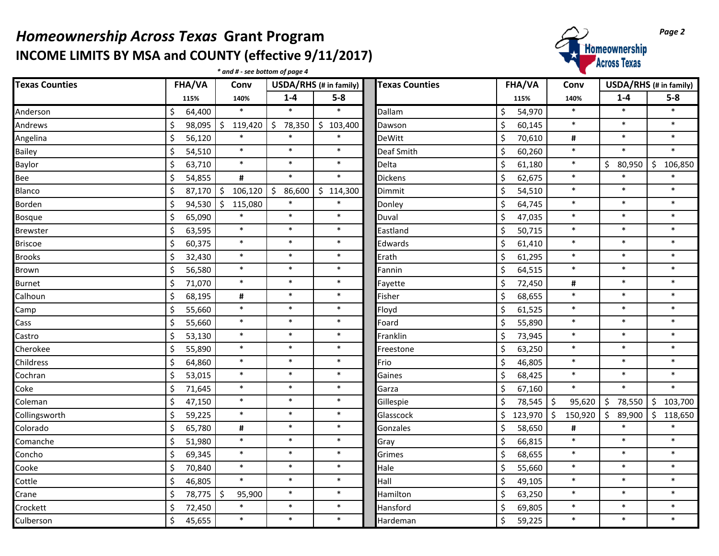## *Homeownership Across Texas* Grant Program<br>
INCOME LIMITS BY MSA and COUNTY (effective 9/11/2017) **Page 2**<br> **Across Texas INCOME LIMITS BY MSA and COUNTY (effective 9/11/2017)**

|                       |                   | * and # - see bottom of page 4 |                   |                        |                       |              |               | <b>TIAL AREA</b> LAWAY |                    |  |
|-----------------------|-------------------|--------------------------------|-------------------|------------------------|-----------------------|--------------|---------------|------------------------|--------------------|--|
| <b>Texas Counties</b> | FHA/VA            | Conv                           |                   | USDA/RHS (# in family) | <b>Texas Counties</b> | FHA/VA       | Conv          | USDA/RHS (# in family) |                    |  |
|                       | 115%              | 140%                           | $1 - 4$           | $5-8$                  |                       | 115%         | 140%          | $1-4$                  | $5-8$              |  |
| Anderson              | \$<br>64,400      |                                | $\ast$            | $\ast$                 | Dallam                | \$<br>54,970 | $\ast$        | $\ast$                 | $\ast$             |  |
| Andrews               | \$<br>$98,095$ \$ | 119,420                        | $\zeta$<br>78,350 | \$<br>103,400          | Dawson                | \$<br>60,145 | $\ast$        | $\ast$                 | $\ast$             |  |
| Angelina              | \$<br>56,120      | $\ast$                         | $\ast$            | $\ast$                 | DeWitt                | Ś<br>70,610  | #             | $\ast$                 | $\ast$             |  |
| Bailey                | \$<br>54,510      | $\ast$                         | $\ast$            | $\ast$                 | Deaf Smith            | \$<br>60,260 | $\ast$        | $\ast$                 | $\ast$             |  |
| Baylor                | \$<br>63,710      | $\ast$                         | $\ast$            | $\ast$                 | Delta                 | \$<br>61,180 | $\ast$        | \$<br>80,950           | \$<br>106,850      |  |
| Bee                   | \$<br>54,855      | $\pmb{\sharp}$                 | $\ast$            | $\ast$                 | Dickens               | \$<br>62,675 | $\ast$        | $\ast$                 | $\ast$             |  |
| Blanco                | \$<br>$87,170$ \$ | 106,120                        | $\zeta$<br>86,600 | \$<br>114,300          | Dimmit                | \$<br>54,510 | $\ast$        | $\ast$                 | $\ast$             |  |
| Borden                | \$<br>94,530      | \$<br>115,080                  | $\ast$            | $\ast$                 | Donley                | \$<br>64,745 | $\ast$        | $\ast$                 | $\ast$             |  |
| Bosque                | \$<br>65,090      | $\ast$                         | $\ast$            | $\ast$                 | Duval                 | \$<br>47,035 | $\ast$        | $\ast$                 | $\ast$             |  |
| <b>Brewster</b>       | \$<br>63,595      | $\ast$                         | $\ast$            | $\ast$                 | Eastland              | Ś<br>50,715  | $\ast$        | $\ast$                 | $\ast$             |  |
| <b>Briscoe</b>        | \$<br>60,375      | $\ast$                         | $\ast$            | $\ast$                 | Edwards               | \$<br>61,410 | $\ast$        | $\ast$                 | $\ast$             |  |
| <b>Brooks</b>         | \$<br>32,430      | $\ast$                         | $\ast$            | $\ast$                 | Erath                 | \$<br>61,295 | $\ast$        | $\ast$                 | $\ast$             |  |
| Brown                 | \$<br>56,580      | $\ast$                         | $\ast$            | $\ast$                 | Fannin                | \$<br>64,515 | $\ast$        | $\ast$                 | $\ast$             |  |
| <b>Burnet</b>         | \$<br>71,070      | $\ast$                         | $\ast$            | $\ast$                 | Fayette               | \$<br>72,450 | #             | $\ast$                 | $\ast$             |  |
| Calhoun               | \$<br>68,195      | #                              | $\ast$            | $\ast$                 | Fisher                | \$<br>68,655 | $\ast$        | $\ast$                 | $\ast$             |  |
| Camp                  | \$<br>55,660      | $\ast$                         | $\ast$            | $\ast$                 | Floyd                 | Ś<br>61,525  | $\ast$        | $\ast$                 | $\ast$             |  |
| Cass                  | \$<br>55,660      | $\ast$                         | $\ast$            | $\ast$                 | Foard                 | \$<br>55,890 | $\ast$        | $\ast$                 | $\ast$             |  |
| Castro                | \$<br>53,130      | $\ast$                         | $\ast$            | $\ast$                 | Franklin              | Ś<br>73,945  | $\ast$        | $\ast$                 | $\ast$             |  |
| Cherokee              | \$<br>55,890      | $\ast$                         | $\ast$            | $\ast$                 | Freestone             | \$<br>63,250 | $\ast$        | $\ast$                 | $\ast$             |  |
| Childress             | \$<br>64,860      | $\ast$                         | $\ast$            | $\ast$                 | Frio                  | \$<br>46,805 | $\ast$        | $\ast$                 | $\ast$             |  |
| Cochran               | \$<br>53,015      | $\ast$                         | $\ast$            | $\ast$                 | Gaines                | \$<br>68,425 | $\ast$        | $\ast$                 | $\ast$             |  |
| Coke                  | \$<br>71,645      | $\ast$                         | $\ast$            | $\ast$                 | Garza                 | \$<br>67,160 | $\ast$        | $\ast$                 | $\ast$             |  |
| Coleman               | \$<br>47,150      | $\ast$                         | $\ast$            | $\ast$                 | Gillespie             | \$<br>78,545 | \$<br>95,620  | \$<br>78,550           | \$103,700          |  |
| Collingsworth         | \$<br>59,225      | $\ast$                         | $\ast$            | $\ast$                 | Glasscock             | Ś<br>123,970 | \$<br>150,920 | \$<br>89,900           | $\zeta$<br>118,650 |  |
| Colorado              | \$<br>65,780      | #                              | $\ast$            | $\ast$                 | Gonzales              | Ś<br>58,650  | #             | $\ast$                 |                    |  |
| Comanche              | \$<br>51,980      | $\ast$                         | $\ast$            | $\ast$                 | Gray                  | \$<br>66,815 | $\ast$        | $\ast$                 | $\ast$             |  |
| Concho                | \$<br>69,345      | $\ast$                         | $\ast$            | $\ast$                 | Grimes                | \$<br>68,655 | $\ast$        | $\ast$                 | $\ast$             |  |
| Cooke                 | \$<br>70,840      | $\ast$                         | $\ast$            | $\ast$                 | Hale                  | \$<br>55,660 | $\ast$        | $\ast$                 | $\ast$             |  |
| Cottle                | \$<br>46,805      | $\ast$                         | $\ast$            | $\ast$                 | Hall                  | \$<br>49,105 | $\ast$        | $\ast$                 | $\ast$             |  |
| Crane                 | \$<br>78,775   \$ | 95,900                         | $\ast$            | $\ast$                 | Hamilton              | Ś<br>63,250  | $\ast$        | $\ast$                 | $\ast$             |  |
| Crockett              | \$<br>72,450      | $\ast$                         | $\ast$            | $\ast$                 | Hansford              | Ś<br>69,805  | $\ast$        | $\ast$                 | $\ast$             |  |
| Culberson             | \$<br>45,655      | $\ast$                         | $\ast$            | $\ast$                 | Hardeman              | \$<br>59,225 | $\ast$        | $\ast$                 | $\ast$             |  |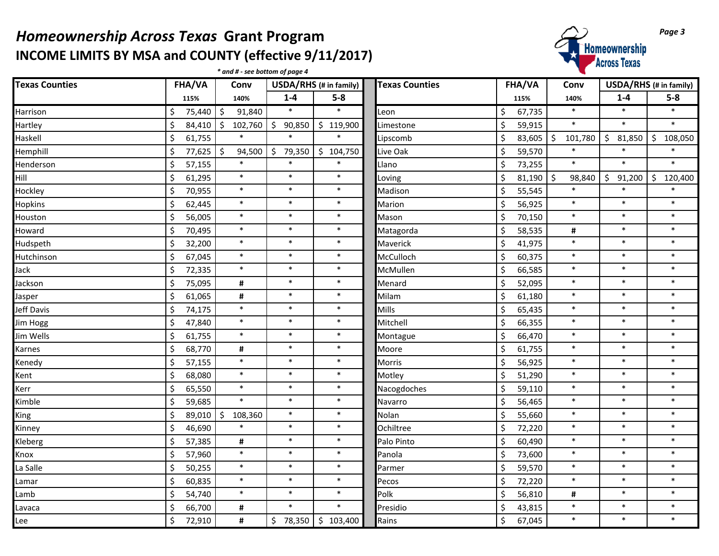## *Homeownership Across Texas* Grant Program<br>
INCOME LIMITS BY MSA and COUNTY (effective 9/11/2017) **INCOME LIMITS BY MSA and COUNTY (effective 9/11/2017)**

*\* and # - see bottom of page 4*



| <b>Texas Counties</b> | <b>FHA/VA</b> | Conv              | USDA/RHS (# in family) |               | <b>Texas Counties</b> | <b>FHA/VA</b> | Conv          |              | USDA/RHS (# in family) |
|-----------------------|---------------|-------------------|------------------------|---------------|-----------------------|---------------|---------------|--------------|------------------------|
|                       | 115%          | 140%              | $1-4$                  | $5-8$         |                       | 115%          | 140%          | $1 - 4$      | $5-8$                  |
| Harrison              | \$<br>75,440  | $\zeta$<br>91,840 | $\ast$                 | $\ast$        | Leon                  | \$<br>67,735  | $\ast$        | $\ast$       | $\ast$                 |
| Hartley               | \$<br>84,410  | \$<br>102,760     | \$<br>90,850           | \$<br>119,900 | Limestone             | \$<br>59,915  | $\ast$        | $\ast$       | $\ast$                 |
| Haskell               | \$<br>61,755  |                   | $\ast$                 | $\ast$        | Lipscomb              | \$<br>83,605  | \$<br>101,780 | \$<br>81,850 | Ś<br>108,050           |
| Hemphill              | \$<br>77,625  | $\zeta$<br>94,500 | $\zeta$<br>79,350      | \$104,750     | Live Oak              | \$<br>59,570  | $\ast$        | $\ast$       | $\ast$                 |
| Henderson             | \$<br>57,155  | $\ast$            | $\ast$                 | $\ast$        | Llano                 | Ś<br>73,255   | $\ast$        | $\ast$       | $\ast$                 |
| Hill                  | \$<br>61,295  | $\ast$            | $\ast$                 | $\ast$        | Loving                | \$<br>81,190  | \$<br>98,840  | \$<br>91,200 | Ś<br>120,400           |
| Hockley               | \$<br>70,955  | $\ast$            | $\ast$                 | $\ast$        | Madison               | \$<br>55,545  | $\ast$        | $\ast$       | $\ast$                 |
| Hopkins               | \$<br>62,445  | $\ast$            | $\ast$                 | $\ast$        | Marion                | \$<br>56,925  | $\ast$        | $\ast$       | $\ast$                 |
| Houston               | \$<br>56,005  | $\ast$            | $\ast$                 | $\ast$        | Mason                 | \$<br>70,150  | $\ast$        | $\ast$       | $\ast$                 |
| Howard                | \$<br>70,495  | $\ast$            | $\ast$                 | $\ast$        | Matagorda             | \$<br>58,535  | #             | $\ast$       | $\ast$                 |
| Hudspeth              | \$<br>32,200  | $\ast$            | $\ast$                 | $\ast$        | Maverick              | 41,975        | $\ast$        | $\ast$       | $\ast$                 |
| Hutchinson            | \$<br>67,045  | $\ast$            | $\ast$                 | $\ast$        | McCulloch             | \$<br>60,375  | $\ast$        | $\ast$       | $\pmb{\ast}$           |
| Jack                  | \$<br>72,335  | $\ast$            | $\ast$                 | $\ast$        | McMullen              | \$<br>66,585  | $\ast$        | $\ast$       | $\ast$                 |
| Jackson               | \$<br>75,095  | #                 | $\ast$                 | $\ast$        | Menard                | \$<br>52,095  | $\ast$        | $\ast$       | $\ast$                 |
| Jasper                | \$<br>61,065  | #                 | $\ast$                 | $\ast$        | Milam                 | \$<br>61,180  | $\ast$        | $\ast$       | $\ast$                 |
| Jeff Davis            | \$<br>74,175  | $\ast$            | $\ast$                 | $\ast$        | Mills                 | \$<br>65,435  | $\ast$        | $\ast$       | $\ast$                 |
| Jim Hogg              | \$<br>47,840  | $\ast$            | $\ast$                 | $\ast$        | Mitchell              | Ś<br>66,355   | $\ast$        | $\ast$       | $\ast$                 |
| Jim Wells             | \$<br>61,755  | $\ast$            | $\ast$                 | $\ast$        | Montague              | \$<br>66,470  | $\ast$        | $\ast$       | $\pmb{\ast}$           |
| Karnes                | \$<br>68,770  | #                 | $\ast$                 | $\ast$        | Moore                 | \$<br>61,755  | $\ast$        | $\ast$       | $\ast$                 |
| Kenedy                | \$<br>57,155  | $\ast$            | $\ast$                 | $\ast$        | Morris                | \$<br>56,925  | $\ast$        | $\ast$       | $\ast$                 |
| Kent                  | \$<br>68,080  | $\ast$            | $\ast$                 | $\ast$        | Motley                | \$<br>51,290  | $\ast$        | $\ast$       | $\ast$                 |
| Kerr                  | \$<br>65,550  | $\ast$            | $\ast$                 | $\ast$        | Nacogdoches           | \$<br>59,110  | $\ast$        | $\ast$       | $\ast$                 |
| Kimble                | \$<br>59,685  | $\ast$            | $\ast$                 | $\ast$        | Navarro               | Ś<br>56,465   | $\ast$        | $\ast$       | $\ast$                 |
| King                  | \$<br>89,010  | 108,360<br>\$.    | $\ast$                 | $\ast$        | Nolan                 | \$<br>55,660  | $\ast$        | $\ast$       | $\pmb{\ast}$           |
| Kinney                | \$<br>46,690  | $\ast$            | $\ast$                 | $\ast$        | Ochiltree             | \$<br>72,220  | $\ast$        | $\ast$       | $\ast$                 |
| Kleberg               | \$<br>57,385  | #                 | $\ast$                 | $\ast$        | Palo Pinto            | \$<br>60,490  | $\ast$        | $\ast$       | $\ast$                 |
| Knox                  | \$<br>57,960  | $\ast$            | $\ast$                 | $\ast$        | Panola                | \$<br>73,600  | $\ast$        | $\ast$       | $\ast$                 |
| La Salle              | \$<br>50,255  | $\ast$            | $\ast$                 | $\ast$        | Parmer                | \$<br>59,570  | $\ast$        | $\ast$       | $\ast$                 |
| Lamar                 | \$<br>60,835  | $\ast$            | $\ast$                 | $\ast$        | Pecos                 | Ś<br>72,220   | $\ast$        | $\ast$       | $\ast$                 |
| Lamb                  | \$<br>54,740  | $\ast$            | $\ast$                 | $\ast$        | Polk                  | \$<br>56,810  | #             | $\ast$       | $\ast$                 |
| Lavaca                | \$<br>66,700  | #                 | $\ast$                 | $\ast$        | Presidio              | \$<br>43,815  | $\ast$        | $\ast$       | $\ast$                 |
| Lee                   | \$<br>72,910  | #                 | \$<br>78,350           | \$103,400     | Rains                 | \$<br>67,045  | $\ast$        | $\ast$       | $\ast$                 |